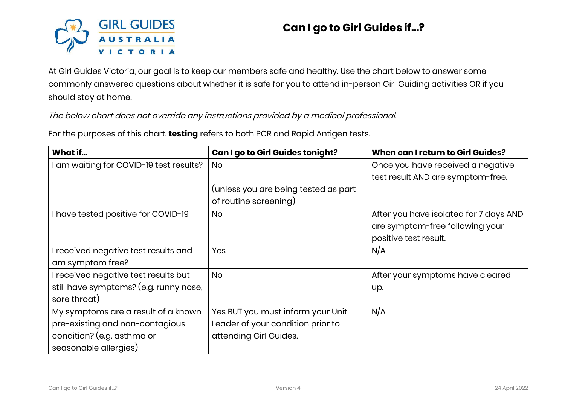

## **Can I go to Girl Guides if…?**

At Girl Guides Victoria, our goal is to keep our members safe and healthy. Use the chart below to answer some commonly answered questions about whether it is safe for you to attend in-person Girl Guiding activities OR if you should stay at home.

The below chart does not override any instructions provided by a medical professional.

For the purposes of this chart. **testing** refers to both PCR and Rapid Antigen tests.

| What if                                 | Can I go to Girl Guides tonight?     | When can I return to Girl Guides?      |
|-----------------------------------------|--------------------------------------|----------------------------------------|
| I am waiting for COVID-19 test results? | <b>No</b>                            | Once you have received a negative      |
|                                         |                                      | test result AND are symptom-free.      |
|                                         | (unless you are being tested as part |                                        |
|                                         | of routine screening)                |                                        |
| I have tested positive for COVID-19     | <b>No</b>                            | After you have isolated for 7 days AND |
|                                         |                                      | are symptom-free following your        |
|                                         |                                      | positive test result.                  |
| I received negative test results and    | Yes                                  | N/A                                    |
| am symptom free?                        |                                      |                                        |
| I received negative test results but    | <b>No</b>                            | After your symptoms have cleared       |
| still have symptoms? (e.g. runny nose,  |                                      | up.                                    |
| sore throat)                            |                                      |                                        |
| My symptoms are a result of a known     | Yes BUT you must inform your Unit    | N/A                                    |
| pre-existing and non-contagious         | Leader of your condition prior to    |                                        |
| condition? (e.g. asthma or              | attending Girl Guides.               |                                        |
| seasonable allergies)                   |                                      |                                        |